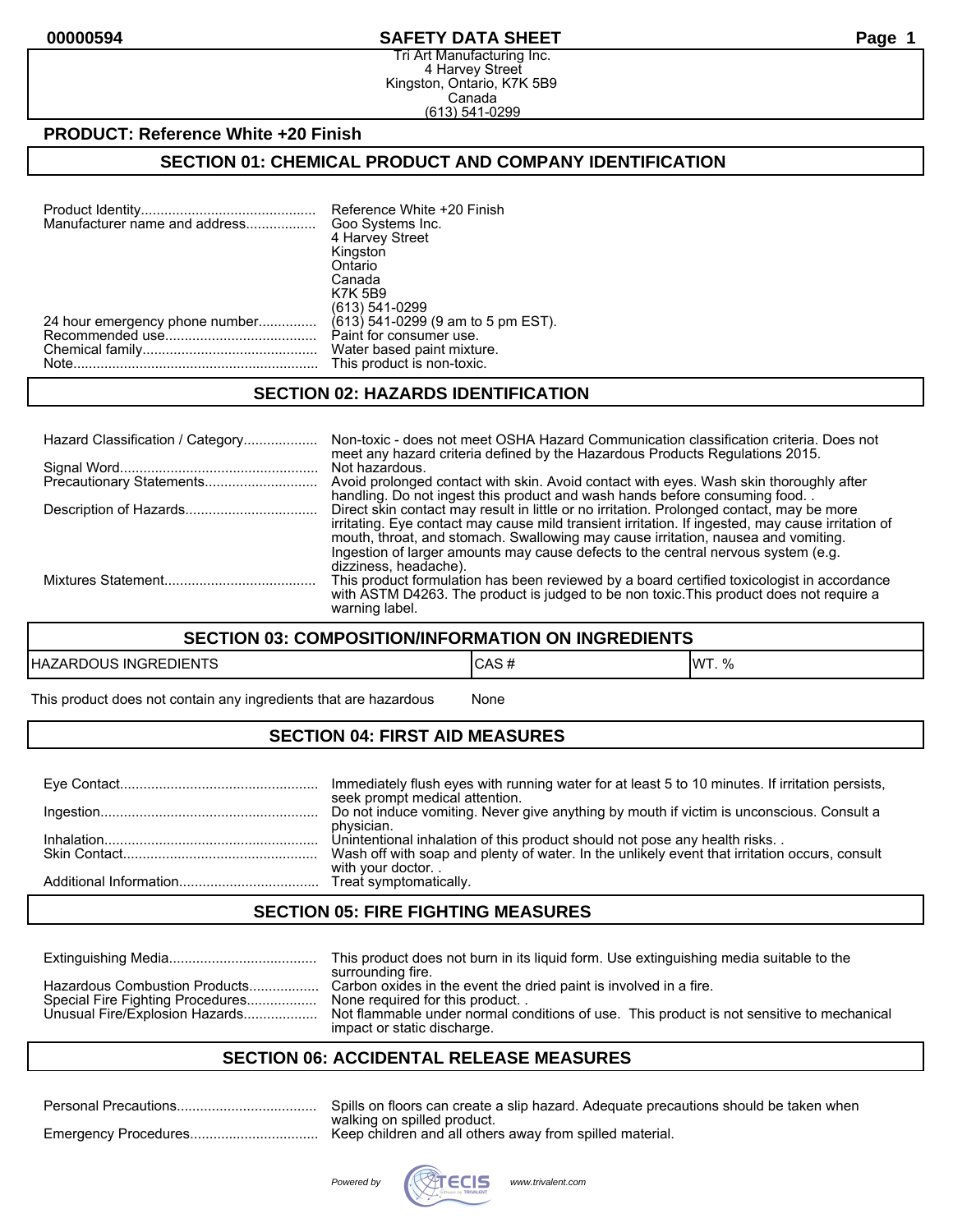#### **00000594 SAFETY DATA SHEET Page 1**

Tri Art Manufacturing Inc. 4 Harvey Street Kingston, Ontario, K7K 5B9 Canada (613) 541-0299

#### **PRODUCT: Reference White +20 Finish**

## **SECTION 01: CHEMICAL PRODUCT AND COMPANY IDENTIFICATION**

| Manufacturer name and address  | Reference White +20 Finish<br>Goo Systems Inc. |
|--------------------------------|------------------------------------------------|
|                                | 4 Harvey Street                                |
|                                | Kingston                                       |
|                                | Ontario                                        |
|                                | Canada                                         |
|                                | <b>K7K 5B9</b>                                 |
|                                | (613) 541-0299                                 |
| 24 hour emergency phone number | $(613)$ 541-0299 (9 am to 5 pm EST).           |
|                                | Paint for consumer use.                        |
|                                | Water based paint mixture.                     |
|                                | This product is non-toxic.                     |

#### **SECTION 02: HAZARDS IDENTIFICATION**

| Hazard Classification / Category | Non-toxic - does not meet OSHA Hazard Communication classification criteria. Does not<br>meet any hazard criteria defined by the Hazardous Products Regulations 2015.                                                                                                                                                                                                    |
|----------------------------------|--------------------------------------------------------------------------------------------------------------------------------------------------------------------------------------------------------------------------------------------------------------------------------------------------------------------------------------------------------------------------|
|                                  | Not hazardous.<br>Avoid prolonged contact with skin. Avoid contact with eyes. Wash skin thoroughly after<br>handling. Do not ingest this product and wash hands before consuming food.                                                                                                                                                                                   |
|                                  | Direct skin contact may result in little or no irritation. Prolonged contact, may be more<br>irritating. Eye contact may cause mild transient irritation. If ingested, may cause irritation of<br>mouth, throat, and stomach. Swallowing may cause irritation, nausea and vomiting.<br>Ingestion of larger amounts may cause defects to the central nervous system (e.g. |
|                                  | dizziness, headache).<br>This product formulation has been reviewed by a board certified toxicologist in accordance<br>with ASTM D4263. The product is judged to be non toxic. This product does not require a<br>warning label.                                                                                                                                         |

#### **SECTION 03: COMPOSITION/INFORMATION ON INGREDIENTS**

| HAZA<br>่วเมร<br>DIENTS<br>ING<br>⊐כבי | $\mathbf{r}$<br>.ur<br>״ שר | IW7<br>7٥<br>. |
|----------------------------------------|-----------------------------|----------------|
|                                        |                             |                |

This product does not contain any ingredients that are hazardous Mone

## **SECTION 04: FIRST AID MEASURES**

| Immediately flush eyes with running water for at least 5 to 10 minutes. If irritation persists,<br>seek prompt medical attention.                                                        |
|------------------------------------------------------------------------------------------------------------------------------------------------------------------------------------------|
| Do not induce vomiting. Never give anything by mouth if victim is unconscious. Consult a                                                                                                 |
| physician.<br>Unintentional inhalation of this product should not pose any health risks<br>Wash off with soap and plenty of water. In the unlikely event that irritation occurs, consult |
| with your doctor                                                                                                                                                                         |

#### **SECTION 05: FIRE FIGHTING MEASURES**

|                                                                                                     | This product does not burn in its liquid form. Use extinguishing media suitable to the<br>surrounding fire.                                                                                                                     |
|-----------------------------------------------------------------------------------------------------|---------------------------------------------------------------------------------------------------------------------------------------------------------------------------------------------------------------------------------|
| Hazardous Combustion Products<br>Special Fire Fighting Procedures<br>Unusual Fire/Explosion Hazards | Carbon oxides in the event the dried paint is involved in a fire.<br>None required for this product<br>Not flammable under normal conditions of use. This product is not sensitive to mechanical<br>impact or static discharge. |

## **SECTION 06: ACCIDENTAL RELEASE MEASURES**

| Spills on floors can create a slip hazard. Adequate precautions should be taken when |
|--------------------------------------------------------------------------------------|
| walking on spilled product.                                                          |
|                                                                                      |

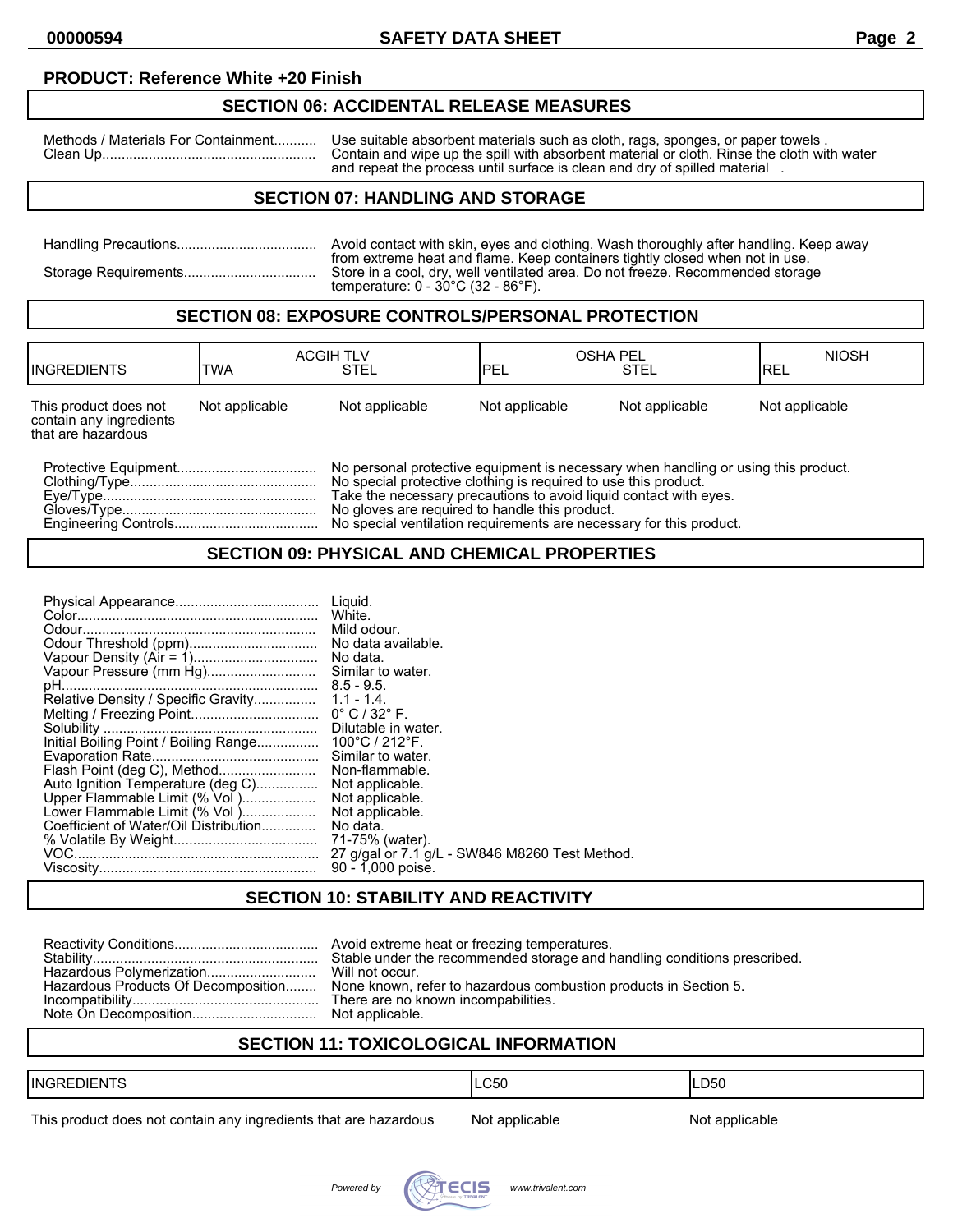## **PRODUCT: Reference White +20 Finish**

## **SECTION 06: ACCIDENTAL RELEASE MEASURES**

Methods / Materials For Containment........... Use suitable absorbent materials such as cloth, rags, sponges, or paper towels . Clean Up....................................................... Contain and wipe up the spill with absorbent material or cloth. Rinse the cloth with water and repeat the process until surface is clean and dry of spilled material .

## **SECTION 07: HANDLING AND STORAGE**

| Avoid contact with skin, eyes and clothing. Wash thoroughly after handling. Keep away<br>from extreme heat and flame. Keep containers tightly closed when not in use. |
|-----------------------------------------------------------------------------------------------------------------------------------------------------------------------|
| Store in a cool, dry, well ventilated area. Do not freeze. Recommended storage<br>temperature: $0 - 30^{\circ}$ C (32 - 86 $^{\circ}$ F).                             |

## **SECTION 08: EXPOSURE CONTROLS/PERSONAL PROTECTION**

| <b>INGREDIENTS</b>                                                     | <b>TWA</b>     | <b>ACGIH TLV</b><br><b>STEL</b>                                                                                                                                                                                                                                              | IPEL           | <b>OSHA PEL</b><br><b>STEL</b> | <b>NIOSH</b><br>IREL |
|------------------------------------------------------------------------|----------------|------------------------------------------------------------------------------------------------------------------------------------------------------------------------------------------------------------------------------------------------------------------------------|----------------|--------------------------------|----------------------|
| This product does not<br>contain any ingredients<br>that are hazardous | Not applicable | Not applicable                                                                                                                                                                                                                                                               | Not applicable | Not applicable                 | Not applicable       |
|                                                                        |                | No personal protective equipment is necessary when handling or using this product.<br>No special protective clothing is required to use this product.<br>Take the necessary precautions to avoid liquid contact with eves.<br>No gloves are required to handle this product. |                |                                |                      |

Engineering Controls..................................... No special ventilation requirements are necessary for this product.

#### **SECTION 09: PHYSICAL AND CHEMICAL PROPERTIES**

| Auto Ignition Temperature (deg C)<br>Upper Flammable Limit (% Vol )<br>Lower Flammable Limit (% Vol)<br>Coefficient of Water/Oil Distribution | Liguid.<br>White.<br>Mild odour.<br>No data.<br>Similar to water.<br>Similar to water.<br>Non-flammable.<br>Not applicable.<br>Not applicable.<br>Not applicable.<br>No data.<br>71-75% (water).<br>27 g/gal or 7.1 g/L - SW846 M8260 Test Method.<br>90 - 1,000 poise. |
|-----------------------------------------------------------------------------------------------------------------------------------------------|-------------------------------------------------------------------------------------------------------------------------------------------------------------------------------------------------------------------------------------------------------------------------|
|-----------------------------------------------------------------------------------------------------------------------------------------------|-------------------------------------------------------------------------------------------------------------------------------------------------------------------------------------------------------------------------------------------------------------------------|

## **SECTION 10: STABILITY AND REACTIVITY**

|  | Stable under the recommended storage and handling conditions prescribed.<br>Hazardous Products Of Decomposition None known, refer to hazardous combustion products in Section 5. |
|--|----------------------------------------------------------------------------------------------------------------------------------------------------------------------------------|
|--|----------------------------------------------------------------------------------------------------------------------------------------------------------------------------------|

# **SECTION 11: TOXICOLOGICAL INFORMATION**

| <b>IINGRL</b><br>11 – N I | C50 | LD50 |
|---------------------------|-----|------|
|                           |     |      |

This product does not contain any ingredients that are hazardous Not applicable Not applicable

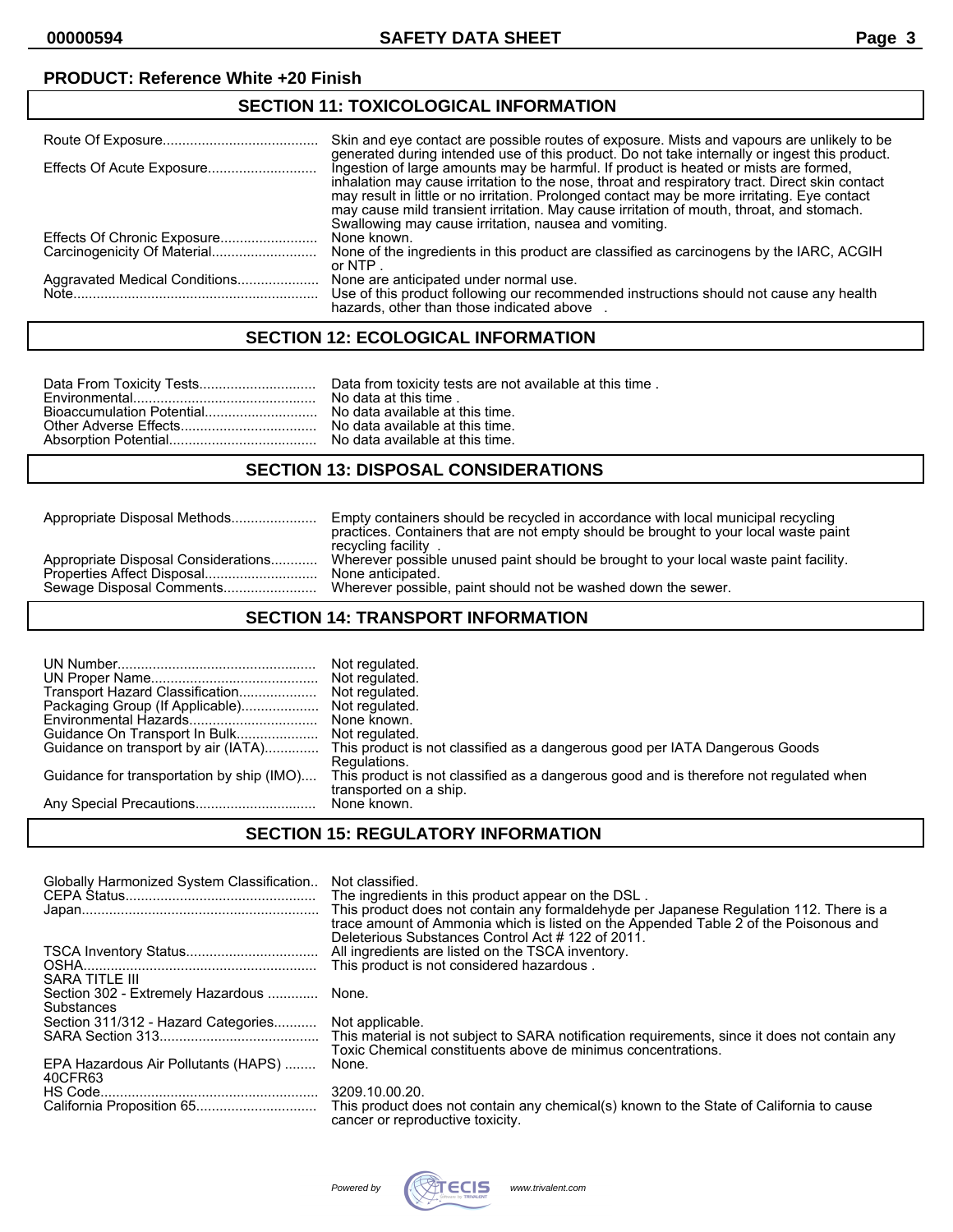## **PRODUCT: Reference White +20 Finish**

#### **SECTION 11: TOXICOLOGICAL INFORMATION**

|                               | Skin and eve contact are possible routes of exposure. Mists and vapours are unlikely to be<br>generated during intended use of this product. Do not take internally or ingest this product.                                                                                                                                                                                                                                                 |
|-------------------------------|---------------------------------------------------------------------------------------------------------------------------------------------------------------------------------------------------------------------------------------------------------------------------------------------------------------------------------------------------------------------------------------------------------------------------------------------|
|                               | Ingestion of large amounts may be harmful. If product is heated or mists are formed,<br>inhalation may cause irritation to the nose, throat and respiratory tract. Direct skin contact<br>may result in little or no irritation. Prolonged contact may be more irritating. Eye contact<br>may cause mild transient irritation. May cause irritation of mouth, throat, and stomach.<br>Swallowing may cause irritation, nausea and vomiting. |
|                               | None known.                                                                                                                                                                                                                                                                                                                                                                                                                                 |
|                               | None of the ingredients in this product are classified as carcinogens by the IARC, ACGIH<br>or NTP $\overline{a}$                                                                                                                                                                                                                                                                                                                           |
| Aggravated Medical Conditions | None are anticipated under normal use.<br>Use of this product following our recommended instructions should not cause any health<br>hazards, other than those indicated above                                                                                                                                                                                                                                                               |

## **SECTION 12: ECOLOGICAL INFORMATION**

#### **SECTION 13: DISPOSAL CONSIDERATIONS**

| Wherever possible unused paint should be brought to your local waste paint facility.<br>Appropriate Disposal Considerations<br>Properties Affect Disposal<br>None anticipated.<br>Wherever possible, paint should not be washed down the sewer.<br>Sewage Disposal Comments | Appropriate Disposal Methods | Empty containers should be recycled in accordance with local municipal recycling<br>practices. Containers that are not empty should be brought to your local waste paint<br>recycling facility |
|-----------------------------------------------------------------------------------------------------------------------------------------------------------------------------------------------------------------------------------------------------------------------------|------------------------------|------------------------------------------------------------------------------------------------------------------------------------------------------------------------------------------------|
|                                                                                                                                                                                                                                                                             |                              |                                                                                                                                                                                                |

#### **SECTION 14: TRANSPORT INFORMATION**

|                                           | Not regulated.                                                                                                  |
|-------------------------------------------|-----------------------------------------------------------------------------------------------------------------|
|                                           | Not regulated.                                                                                                  |
| Transport Hazard Classification           | Not regulated.                                                                                                  |
| Packaging Group (If Applicable)           | Not regulated.                                                                                                  |
|                                           | Guidance on transport by air (IATA) This product is not classified as a dangerous good per IATA Dangerous Goods |
|                                           | Regulations.                                                                                                    |
| Guidance for transportation by ship (IMO) | This product is not classified as a dangerous good and is therefore not regulated when                          |
|                                           | transported on a ship.                                                                                          |

# **SECTION 15: REGULATORY INFORMATION**

| Globally Harmonized System Classification                         | Not classified.<br>The ingredients in this product appear on the DSL.<br>This product does not contain any formaldehyde per Japanese Regulation 112. There is a<br>trace amount of Ammonia which is listed on the Appended Table 2 of the Poisonous and<br>Deleterious Substances Control Act #122 of 2011. |
|-------------------------------------------------------------------|-------------------------------------------------------------------------------------------------------------------------------------------------------------------------------------------------------------------------------------------------------------------------------------------------------------|
|                                                                   | This product is not considered hazardous.                                                                                                                                                                                                                                                                   |
| SARA TITLE III<br>Section 302 - Extremely Hazardous  None.        |                                                                                                                                                                                                                                                                                                             |
| Substances<br>Section 311/312 - Hazard Categories Not applicable. |                                                                                                                                                                                                                                                                                                             |
|                                                                   | Toxic Chemical constituents above de minimus concentrations.                                                                                                                                                                                                                                                |
| EPA Hazardous Air Pollutants (HAPS)<br>40CFR63                    | None.                                                                                                                                                                                                                                                                                                       |
|                                                                   | 3209.10.00.20.<br>cancer or reproductive toxicity.                                                                                                                                                                                                                                                          |